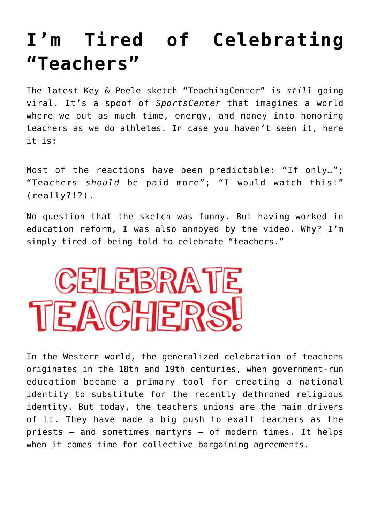## **[I'm Tired of Celebrating](https://intellectualtakeout.org/2015/07/im-tired-of-celebrating-teachers/) ["Teachers"](https://intellectualtakeout.org/2015/07/im-tired-of-celebrating-teachers/)**

The latest Key & Peele sketch "TeachingCenter" is *still* going viral. It's a spoof of *SportsCenter* that imagines a world where we put as much time, energy, and money into honoring teachers as we do athletes. In case you haven't seen it, here it is:

Most of the reactions have been predictable: "If only…"; "Teachers *should* be paid more"; "I would watch this!" (really?!?).

No question that the sketch was funny. But having worked in education reform, I was also annoyed by the video. Why? I'm simply tired of being told to celebrate "teachers."



In the Western world, the generalized celebration of teachers originates in the 18th and 19th centuries, when government-run education became a primary tool for creating a national identity to substitute for the recently dethroned religious identity. But today, the teachers unions are the main drivers of it. They have made a big push to exalt teachers as the priests – and sometimes martyrs – of modern times. It helps when it comes time for collective bargaining agreements.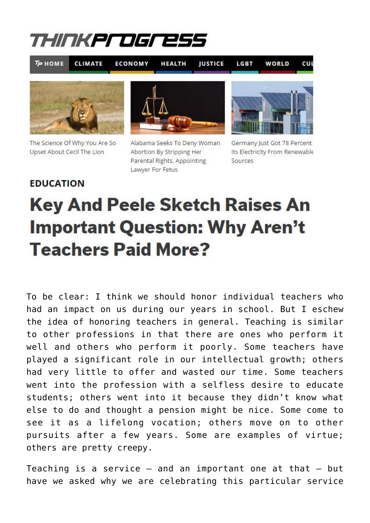## THINKPLOGLES!

 $T = HOME$ 

**CLIMATE ECONOMY**  **HEALTH JUSTICE**  LGBT

WORLD CUL



The Science Of Why You Are So Upset About Cecil The Lion



Alabama Seeks To Deny Woman Abortion By Stripping Her Parental Rights, Appointing Lawyer For Fetus



Germany Just Got 78 Percent Its Electricity From Renewable Sources

## **EDUCATION**

## **Key And Peele Sketch Raises An Important Question: Why Aren't Teachers Paid More?**

To be clear: I think we should honor individual teachers who had an impact on us during our years in school. But I eschew the idea of honoring teachers in general. Teaching is similar to other professions in that there are ones who perform it well and others who perform it poorly. Some teachers have played a significant role in our intellectual growth; others had very little to offer and wasted our time. Some teachers went into the profession with a selfless desire to educate students; others went into it because they didn't know what else to do and thought a pension might be nice. Some come to see it as a lifelong vocation; others move on to other pursuits after a few years. Some are examples of virtue; others are pretty creepy.

Teaching is a service  $-$  and an important one at that  $-$  but have we asked why we are celebrating this particular service